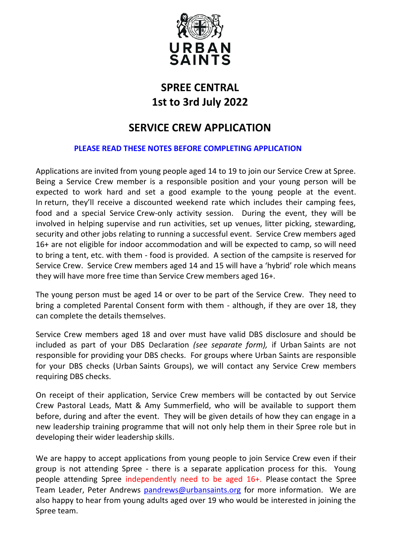

# **SPREE CENTRAL 1st to 3rd July 2022**

# **SERVICE CREW APPLICATION**

#### **PLEASE READ THESE NOTES BEFORE COMPLETING APPLICATION**

Applications are invited from young people aged 14 to 19 to join our Service Crew at Spree. Being a Service Crew member is a responsible position and your young person will be expected to work hard and set a good example to the young people at the event. In return, they'll receive a discounted weekend rate which includes their camping fees, food and a special Service Crew-only activity session. During the event, they will be involved in helping supervise and run activities, set up venues, litter picking, stewarding, security and other jobs relating to running a successful event. Service Crew members aged 16+ are not eligible for indoor accommodation and will be expected to camp, so will need to bring a tent, etc. with them - food is provided. A section of the campsite is reserved for Service Crew. Service Crew members aged 14 and 15 will have a 'hybrid' role which means they will have more free time than Service Crew members aged 16+.

The young person must be aged 14 or over to be part of the Service Crew. They need to bring a completed Parental Consent form with them - although, if they are over 18, they can complete the details themselves.

Service Crew members aged 18 and over must have valid DBS disclosure and should be included as part of your DBS Declaration *(see separate form),* if Urban Saints are not responsible for providing your DBS checks. For groups where Urban Saints are responsible for your DBS checks (Urban Saints Groups), we will contact any Service Crew members requiring DBS checks.

On receipt of their application, Service Crew members will be contacted by out Service Crew Pastoral Leads, Matt & Amy Summerfield, who will be available to support them before, during and after the event. They will be given details of how they can engage in a new leadership training programme that will not only help them in their Spree role but in developing their wider leadership skills.

We are happy to accept applications from young people to join Service Crew even if their group is not attending Spree - there is a separate application process for this. Young people attending Spree independently need to be aged 16+. Please contact the Spree Team Leader, Peter Andrews [pandrews@urbansaints.org](mailto:pandrews@urbansaints.org) for more information. We are also happy to hear from young adults aged over 19 who would be interested in joining the Spree team.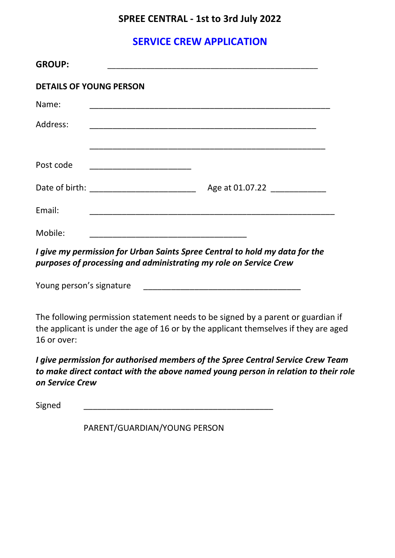### **SPREE CENTRAL - 1st to 3rd July 2022**

## **SERVICE CREW APPLICATION**

| <b>GROUP:</b> |                                                 |
|---------------|-------------------------------------------------|
|               | <b>DETAILS OF YOUNG PERSON</b>                  |
| Name:         |                                                 |
| Address:      |                                                 |
|               |                                                 |
| Post code     | <u> 1990 - Johann John Stone, mars et al. (</u> |
|               | Age at 01.07.22                                 |
| Email:        |                                                 |
| Mobile:       |                                                 |

*I give my permission for Urban Saints Spree Central to hold my data for the purposes of processing and administrating my role on Service Crew*

Young person's signature **Notifiantly as a set of the set of the set of the set of the set of the set of the set o** 

The following permission statement needs to be signed by a parent or guardian if the applicant is under the age of 16 or by the applicant themselves if they are aged 16 or over:

*I give permission for authorised members of the Spree Central Service Crew Team to make direct contact with the above named young person in relation to their role on Service Crew*

Signed \_\_\_\_\_\_\_\_\_\_\_\_\_\_\_\_\_\_\_\_\_\_\_\_\_\_\_\_\_\_\_\_\_\_\_\_\_\_\_\_\_

PARENT/GUARDIAN/YOUNG PERSON